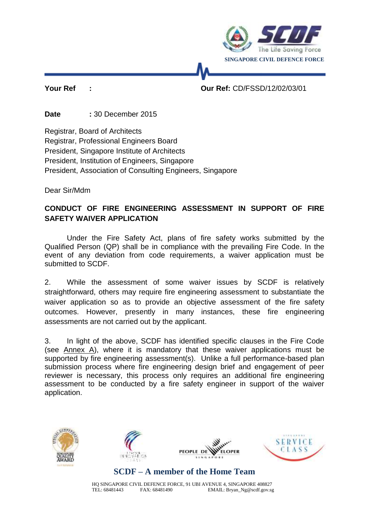

### **Your Ref : Our Ref:** CD/FSSD/12/02/03/01

**Date :** 30 December 2015

Registrar, Board of Architects Registrar, Professional Engineers Board President, Singapore Institute of Architects President, Institution of Engineers, Singapore President, Association of Consulting Engineers, Singapore

Dear Sir/Mdm

### **CONDUCT OF FIRE ENGINEERING ASSESSMENT IN SUPPORT OF FIRE SAFETY WAIVER APPLICATION**

Under the Fire Safety Act, plans of fire safety works submitted by the Qualified Person (QP) shall be in compliance with the prevailing Fire Code. In the event of any deviation from code requirements, a waiver application must be submitted to SCDF.

2. While the assessment of some waiver issues by SCDF is relatively straightforward, others may require fire engineering assessment to substantiate the waiver application so as to provide an objective assessment of the fire safety outcomes. However, presently in many instances, these fire engineering assessments are not carried out by the applicant.

3. In light of the above, SCDF has identified specific clauses in the Fire Code (see Annex A), where it is mandatory that these waiver applications must be supported by fire engineering assessment(s). Unlike a full performance-based plan submission process where fire engineering design brief and engagement of peer reviewer is necessary, this process only requires an additional fire engineering assessment to be conducted by a fire safety engineer in support of the waiver application.









# **SCDF – A member of the Home Team**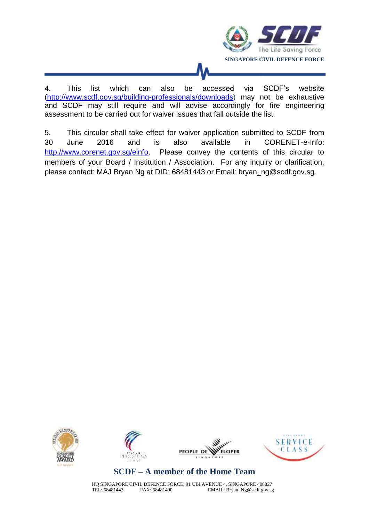

4. This list which can also be accessed via SCDF's website [\(http://www.scdf.gov.sg/building-professionals/downloads\)](http://www.scdf.gov.sg/building-professionals/downloads) may not be exhaustive and SCDF may still require and will advise accordingly for fire engineering assessment to be carried out for waiver issues that fall outside the list.

5. This circular shall take effect for waiver application submitted to SCDF from 30 June 2016 and is also available in CORENET-e-Info: [http://www.corenet.gov.sg/einfo.](http://www.corenet.gov.sg/einfo) Please convey the contents of this circular to members of your Board / Institution / Association. For any inquiry or clarification, please contact: MAJ Bryan Ng at DID: 68481443 or Email: bryan\_ng@scdf.gov.sg.









# **SCDF – A member of the Home Team**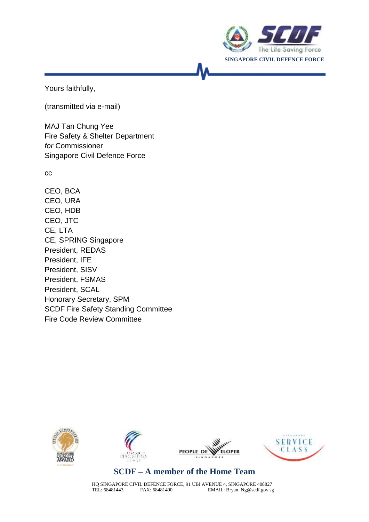

Yours faithfully,

(transmitted via e-mail)

MAJ Tan Chung Yee Fire Safety & Shelter Department *for* Commissioner Singapore Civil Defence Force

cc

CEO, BCA CEO, URA CEO, HDB CEO, JTC CE, LTA CE, SPRING Singapore President, REDAS President, IFE President, SISV President, FSMAS President, SCAL Honorary Secretary, SPM SCDF Fire Safety Standing Committee Fire Code Review Committee









# **SCDF – A member of the Home Team**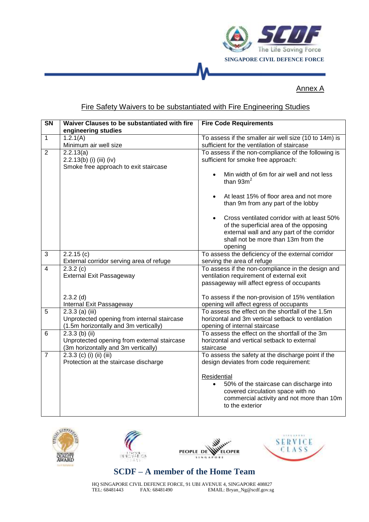

#### Annex A

#### Fire Safety Waivers to be substantiated with Fire Engineering Studies

| $\overline{\text{SN}}$ | Waiver Clauses to be substantiated with fire | <b>Fire Code Requirements</b>                          |
|------------------------|----------------------------------------------|--------------------------------------------------------|
|                        | engineering studies                          |                                                        |
| $\mathbf{1}$           | 1.2.1(A)                                     | To assess if the smaller air well size (10 to 14m) is  |
|                        | Minimum air well size                        | sufficient for the ventilation of staircase            |
| $\overline{2}$         | 2.2.13(a)                                    | To assess if the non-compliance of the following is    |
|                        | 2.2.13(b) (i) (iii) (iv)                     | sufficient for smoke free approach:                    |
|                        | Smoke free approach to exit staircase        |                                                        |
|                        |                                              | Min width of 6m for air well and not less<br>$\bullet$ |
|                        |                                              | than $93m^2$                                           |
|                        |                                              | At least 15% of floor area and not more<br>$\bullet$   |
|                        |                                              | than 9m from any part of the lobby                     |
|                        |                                              | Cross ventilated corridor with at least 50%            |
|                        |                                              | of the superficial area of the opposing                |
|                        |                                              | external wall and any part of the corridor             |
|                        |                                              | shall not be more than 13m from the                    |
|                        |                                              | opening                                                |
| 3                      | 2.2.15(c)                                    | To assess the deficiency of the external corridor      |
|                        | External corridor serving area of refuge     | serving the area of refuge                             |
| $\overline{4}$         | 2.3.2(c)                                     | To assess if the non-compliance in the design and      |
|                        | <b>External Exit Passageway</b>              | ventilation requirement of external exit               |
|                        |                                              | passageway will affect egress of occupants             |
|                        | $2.3.2$ (d)                                  | To assess if the non-provision of 15% ventilation      |
|                        | Internal Exit Passageway                     | opening will affect egress of occupants                |
| $\overline{5}$         | $2.3.3$ (a) (iii)                            | To assess the effect on the shortfall of the 1.5m      |
|                        | Unprotected opening from internal staircase  | horizontal and 3m vertical setback to ventilation      |
|                        | (1.5m horizontally and 3m vertically)        | opening of internal staircase                          |
| 6                      | $2.3.3$ (b) (ii)                             | To assess the effect on the shortfall of the 3m        |
|                        | Unprotected opening from external staircase  | horizontal and vertical setback to external            |
|                        | (3m horizontally and 3m vertically)          | staircase                                              |
| $\overline{7}$         | $2.3.3$ (c) (i) (ii) (iii)                   | To assess the safety at the discharge point if the     |
|                        | Protection at the staircase discharge        | design deviates from code requirement:                 |
|                        |                                              | Residential                                            |
|                        |                                              | $\bullet$<br>50% of the staircase can discharge into   |
|                        |                                              | covered circulation space with no                      |
|                        |                                              | commercial activity and not more than 10m              |
|                        |                                              | to the exterior                                        |
|                        |                                              |                                                        |









# **SCDF – A member of the Home Team**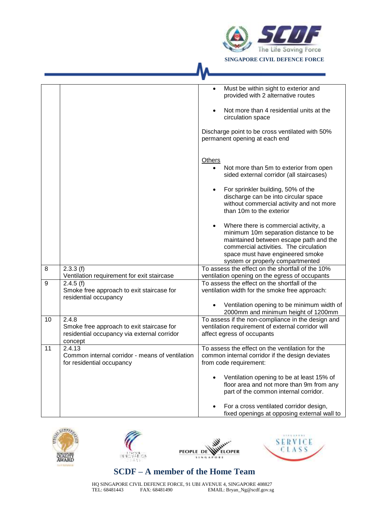

|    |                                                                                                                              | Must be within sight to exterior and<br>provided with 2 alternative routes<br>Not more than 4 residential units at the<br>circulation space<br>Discharge point to be cross ventilated with 50%                                                          |
|----|------------------------------------------------------------------------------------------------------------------------------|---------------------------------------------------------------------------------------------------------------------------------------------------------------------------------------------------------------------------------------------------------|
|    |                                                                                                                              | permanent opening at each end                                                                                                                                                                                                                           |
|    |                                                                                                                              | Others<br>Not more than 5m to exterior from open<br>$\bullet$<br>sided external corridor (all staircases)                                                                                                                                               |
|    |                                                                                                                              | For sprinkler building, 50% of the<br>discharge can be into circular space<br>without commercial activity and not more<br>than 10m to the exterior                                                                                                      |
|    |                                                                                                                              | Where there is commercial activity, a<br>$\bullet$<br>minimum 10m separation distance to be<br>maintained between escape path and the<br>commercial activities. The circulation<br>space must have engineered smoke<br>system or properly compartmented |
| 8  | 2.3.3(f)                                                                                                                     | To assess the effect on the shortfall of the 10%                                                                                                                                                                                                        |
| 9  | Ventilation requirement for exit staircase<br>2.4.5(f)<br>Smoke free approach to exit staircase for<br>residential occupancy | ventilation opening on the egress of occupants<br>To assess the effect on the shortfall of the<br>ventilation width for the smoke free approach:                                                                                                        |
|    |                                                                                                                              | Ventilation opening to be minimum width of<br>2000mm and minimum height of 1200mm                                                                                                                                                                       |
| 10 | 2.4.8<br>Smoke free approach to exit staircase for<br>residential occupancy via external corridor<br>concept                 | To assess if the non-compliance in the design and<br>ventilation requirement of external corridor will<br>affect egress of occupants                                                                                                                    |
| 11 | 2.4.13<br>Common internal corridor - means of ventilation<br>for residential occupancy                                       | To assess the effect on the ventilation for the<br>common internal corridor if the design deviates<br>from code requirement:                                                                                                                            |
|    |                                                                                                                              | Ventilation opening to be at least 15% of<br>floor area and not more than 9m from any<br>part of the common internal corridor.                                                                                                                          |
|    |                                                                                                                              | For a cross ventilated corridor design,<br>fixed openings at opposing external wall to                                                                                                                                                                  |









# **SCDF – A member of the Home Team**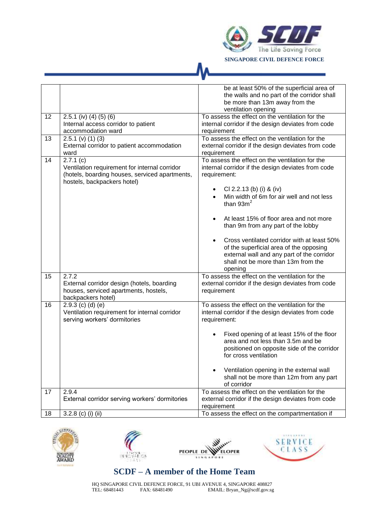

|    |                                                                                                                                            | be at least 50% of the superficial area of<br>the walls and no part of the corridor shall<br>be more than 13m away from the<br>ventilation opening                                                                                                                                                                                                                                                                                                                                            |
|----|--------------------------------------------------------------------------------------------------------------------------------------------|-----------------------------------------------------------------------------------------------------------------------------------------------------------------------------------------------------------------------------------------------------------------------------------------------------------------------------------------------------------------------------------------------------------------------------------------------------------------------------------------------|
| 12 | $2.5.1$ (iv) (4) (5) (6)<br>Internal access corridor to patient<br>accommodation ward                                                      | To assess the effect on the ventilation for the<br>internal corridor if the design deviates from code<br>requirement                                                                                                                                                                                                                                                                                                                                                                          |
| 13 | $2.5.1$ (v) (1) (3)<br>External corridor to patient accommodation<br>ward                                                                  | To assess the effect on the ventilation for the<br>external corridor if the design deviates from code<br>requirement                                                                                                                                                                                                                                                                                                                                                                          |
| 14 | 2.7.1(c)<br>Ventilation requirement for internal corridor<br>(hotels, boarding houses, serviced apartments,<br>hostels, backpackers hotel) | To assess the effect on the ventilation for the<br>internal corridor if the design deviates from code<br>requirement:<br>CI 2.2.13 (b) (i) & (iv)<br>٠<br>Min width of 6m for air well and not less<br>than $93m2$<br>At least 15% of floor area and not more<br>than 9m from any part of the lobby<br>Cross ventilated corridor with at least 50%<br>of the superficial area of the opposing<br>external wall and any part of the corridor<br>shall not be more than 13m from the<br>opening |
| 15 | 2.7.2<br>External corridor design (hotels, boarding<br>houses, serviced apartments, hostels,<br>backpackers hotel)                         | To assess the effect on the ventilation for the<br>external corridor if the design deviates from code<br>requirement                                                                                                                                                                                                                                                                                                                                                                          |
| 16 | $2.9.3$ (c) (d) (e)<br>Ventilation requirement for internal corridor<br>serving workers' dormitories                                       | To assess the effect on the ventilation for the<br>internal corridor if the design deviates from code<br>requirement:<br>Fixed opening of at least 15% of the floor<br>area and not less than 3.5m and be<br>positioned on opposite side of the corridor<br>for cross ventilation<br>Ventilation opening in the external wall<br>shall not be more than 12m from any part<br>of corridor                                                                                                      |
| 17 | 2.9.4<br>External corridor serving workers' dormitories                                                                                    | To assess the effect on the ventilation for the<br>external corridor if the design deviates from code<br>requirement                                                                                                                                                                                                                                                                                                                                                                          |
| 18 | 3.2.8 (c) (i) (ii)                                                                                                                         | To assess the effect on the compartmentation if                                                                                                                                                                                                                                                                                                                                                                                                                                               |









# **SCDF – A member of the Home Team**